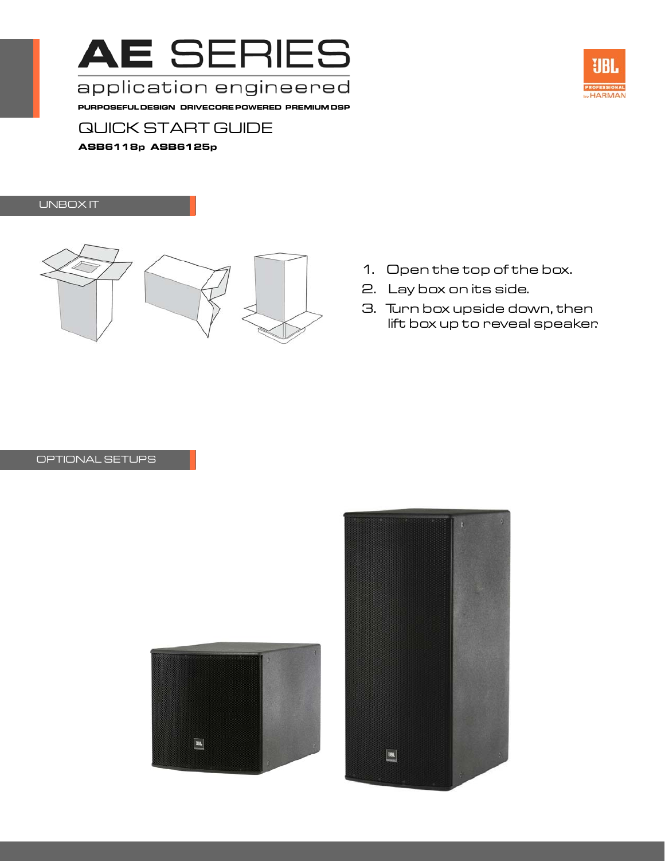

application engineered

**PURPOSEFUL DESIGN DRIVECORE POWERED PREMIUM DSP**



# QUICK START GUIDE

**ASB6118p ASB6125p**

## UNBOX IT



- 1. Open the top of the box.
- 2. Lay box on its side.
- 3. Turn box upside down, then lift box up to reveal speaker.

### OPTIONAL SETUPS